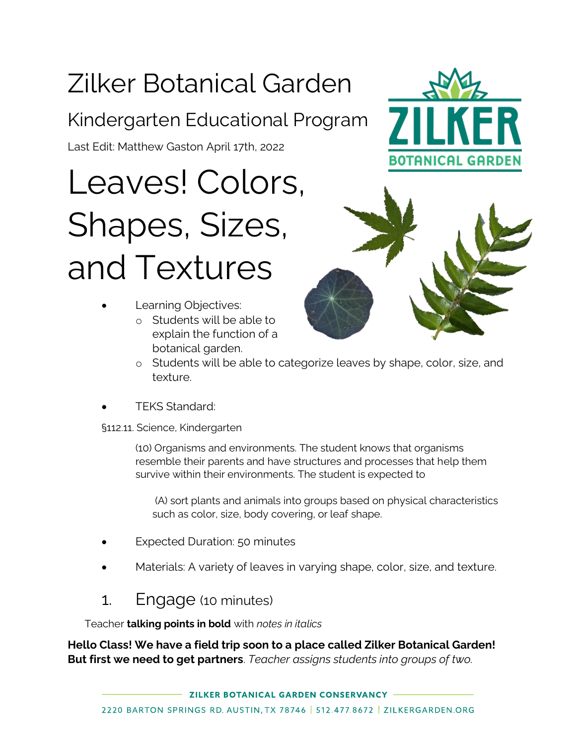# Zilker Botanical Garden

## Kindergarten Educational Program

Last Edit: Matthew Gaston April 17th, 2022

Leaves! Colors, Shapes, Sizes, and Textures

- Learning Objectives:
	- o Students will be able to explain the function of a botanical garden.





- o Students will be able to categorize leaves by shape, color, size, and texture.
- TEKS Standard:

§112.11. Science, Kindergarten

(10) Organisms and environments. The student knows that organisms resemble their parents and have structures and processes that help them survive within their environments. The student is expected to

(A) sort plants and animals into groups based on physical characteristics such as color, size, body covering, or leaf shape.

- **Expected Duration: 50 minutes**
- Materials: A variety of leaves in varying shape, color, size, and texture.

#### 1. Engage (10 minutes)

Teacher **talking points in bold** with *notes in italics*

**Hello Class! We have a field trip soon to a place called Zilker Botanical Garden! But first we need to get partners**. *Teacher assigns students into groups of two.*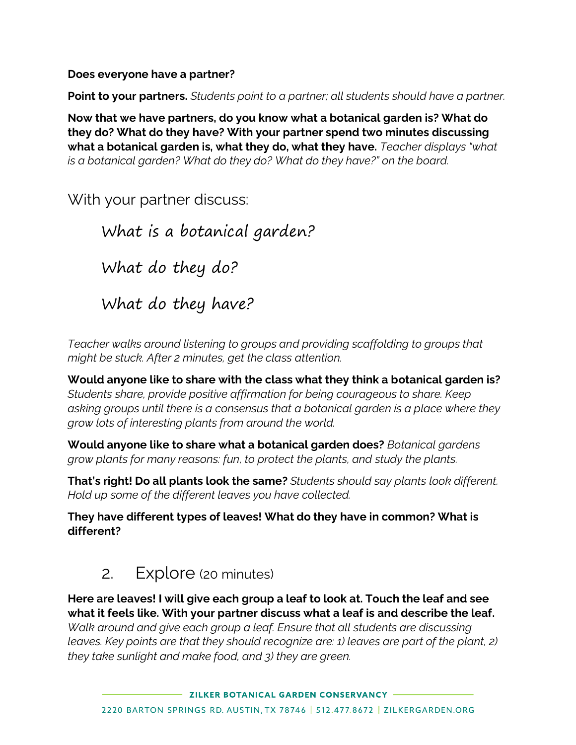**Does everyone have a partner?**

**Point to your partners.** *Students point to a partner; all students should have a partner.*

**Now that we have partners, do you know what a botanical garden is? What do they do? What do they have? With your partner spend two minutes discussing what a botanical garden is, what they do, what they have.** *Teacher displays "what is a botanical garden? What do they do? What do they have?" on the board.*

With your partner discuss:

What is a botanical garden? What do they do? What do they have?

*Teacher walks around listening to groups and providing scaffolding to groups that might be stuck. After 2 minutes, get the class attention.*

**Would anyone like to share with the class what they think a botanical garden is?** *Students share, provide positive affirmation for being courageous to share. Keep asking groups until there is a consensus that a botanical garden is a place where they grow lots of interesting plants from around the world.* 

**Would anyone like to share what a botanical garden does?** *Botanical gardens grow plants for many reasons: fun, to protect the plants, and study the plants.*

**That's right! Do all plants look the same?** *Students should say plants look different. Hold up some of the different leaves you have collected.*

**They have different types of leaves! What do they have in common? What is different?**

#### 2. Explore (20 minutes)

**Here are leaves! I will give each group a leaf to look at. Touch the leaf and see what it feels like. With your partner discuss what a leaf is and describe the leaf.** *Walk around and give each group a leaf. Ensure that all students are discussing leaves. Key points are that they should recognize are: 1) leaves are part of the plant, 2) they take sunlight and make food, and 3) they are green.*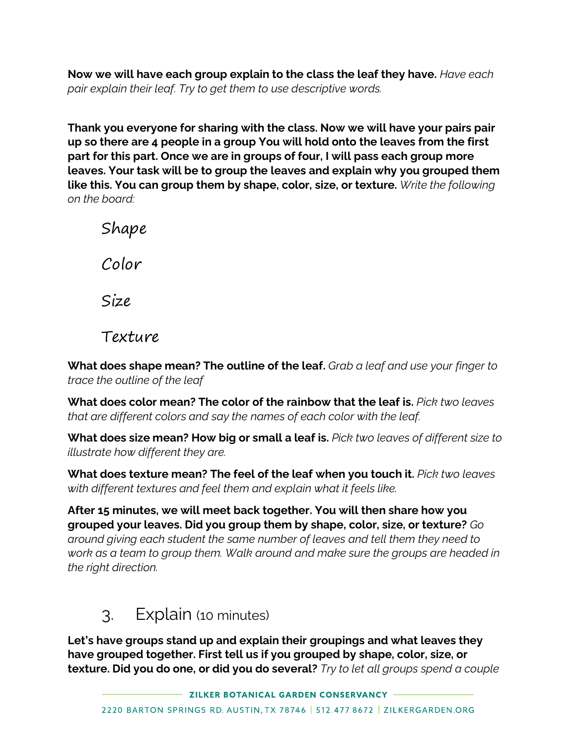**Now we will have each group explain to the class the leaf they have.** *Have each pair explain their leaf. Try to get them to use descriptive words.*

**Thank you everyone for sharing with the class. Now we will have your pairs pair up so there are 4 people in a group You will hold onto the leaves from the first part for this part. Once we are in groups of four, I will pass each group more leaves. Your task will be to group the leaves and explain why you grouped them like this. You can group them by shape, color, size, or texture.** *Write the following on the board:*

Shape Color Size

Texture

**What does shape mean? The outline of the leaf.** *Grab a leaf and use your finger to trace the outline of the leaf*

**What does color mean? The color of the rainbow that the leaf is.** *Pick two leaves that are different colors and say the names of each color with the leaf.*

**What does size mean? How big or small a leaf is.** *Pick two leaves of different size to illustrate how different they are.*

**What does texture mean? The feel of the leaf when you touch it.** *Pick two leaves with different textures and feel them and explain what it feels like.*

**After 15 minutes, we will meet back together. You will then share how you grouped your leaves. Did you group them by shape, color, size, or texture?** *Go around giving each student the same number of leaves and tell them they need to work as a team to group them. Walk around and make sure the groups are headed in the right direction.*

#### 3. Explain (10 minutes)

**Let's have groups stand up and explain their groupings and what leaves they have grouped together. First tell us if you grouped by shape, color, size, or texture. Did you do one, or did you do several?** *Try to let all groups spend a couple*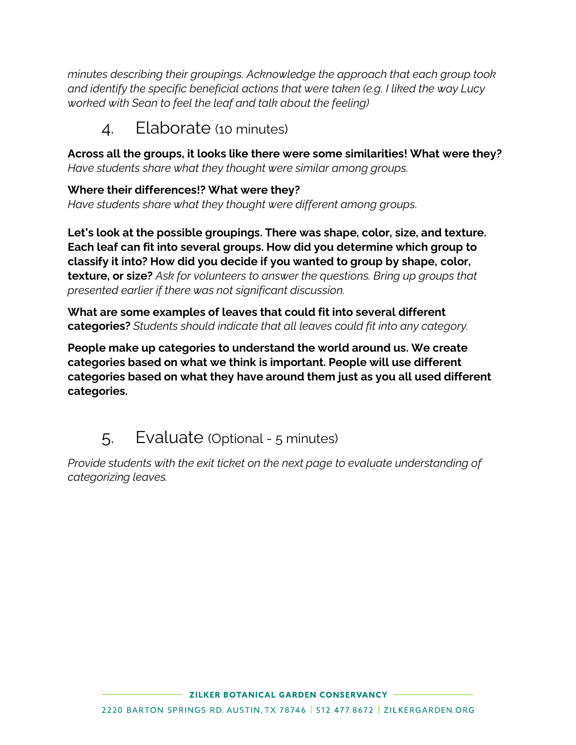*minutes describing their groupings. Acknowledge the approach that each group took and identify the specific beneficial actions that were taken (e.g. I liked the way Lucy worked with Sean to feel the leaf and talk about the feeling)*

#### 4. Elaborate (10 minutes)

**Across all the groups, it looks like there were some similarities! What were they?**  *Have students share what they thought were similar among groups.* 

**Where their differences!? What were they?** *Have students share what they thought were different among groups.*

**Let's look at the possible groupings. There was shape, color, size, and texture. Each leaf can fit into several groups. How did you determine which group to classify it into? How did you decide if you wanted to group by shape, color, texture, or size?** *Ask for volunteers to answer the questions. Bring up groups that presented earlier if there was not significant discussion.*

**What are some examples of leaves that could fit into several different categories?** *Students should indicate that all leaves could fit into any category.*

**People make up categories to understand the world around us. We create categories based on what we think is important. People will use different categories based on what they have around them just as you all used different categories.** 

### 5. Evaluate (Optional - 5 minutes)

*Provide students with the exit ticket on the next page to evaluate understanding of categorizing leaves.*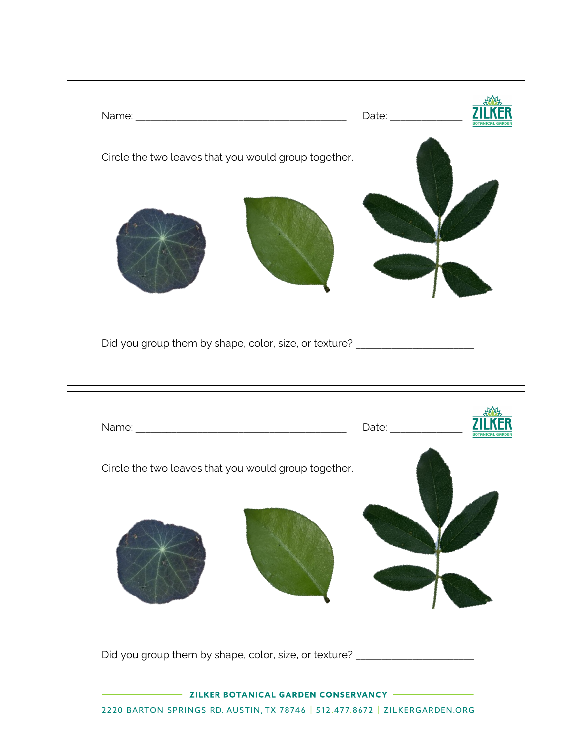

2220 BARTON SPRINGS RD. AUSTIN, TX 78746 | 512.477.8672 | ZILKERGARDEN.ORG